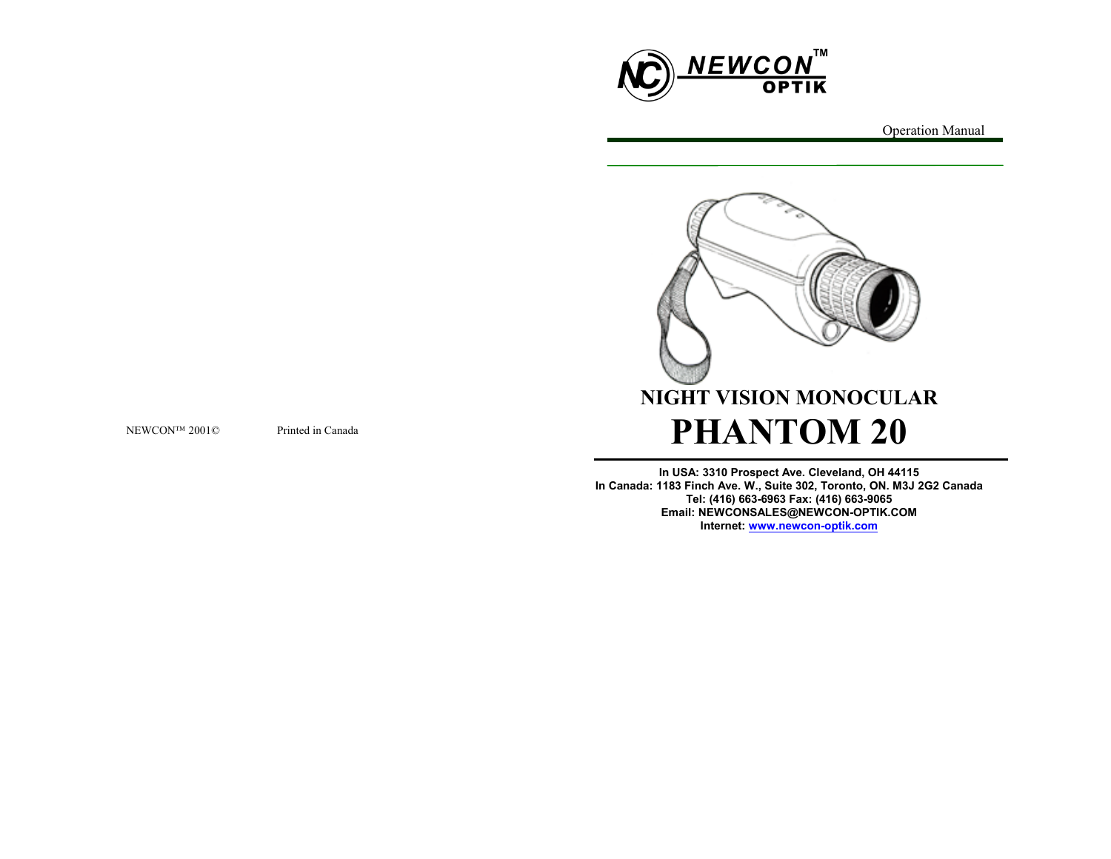



**In USA: 3310 Prospect Ave. Cleveland, OH 44115 In Canada: 1183 Finch Ave. W., Suite 302, Toronto, ON. M3J 2G2 Canada Tel: (416) 663-6963 Fax: (416) 663-9065 Email: NEWCONSALES@NEWCON-OPTIK.COM Internet: www.newcon-optik.com**

NEWCONTM 2001 $\odot$ 

Printed in Canada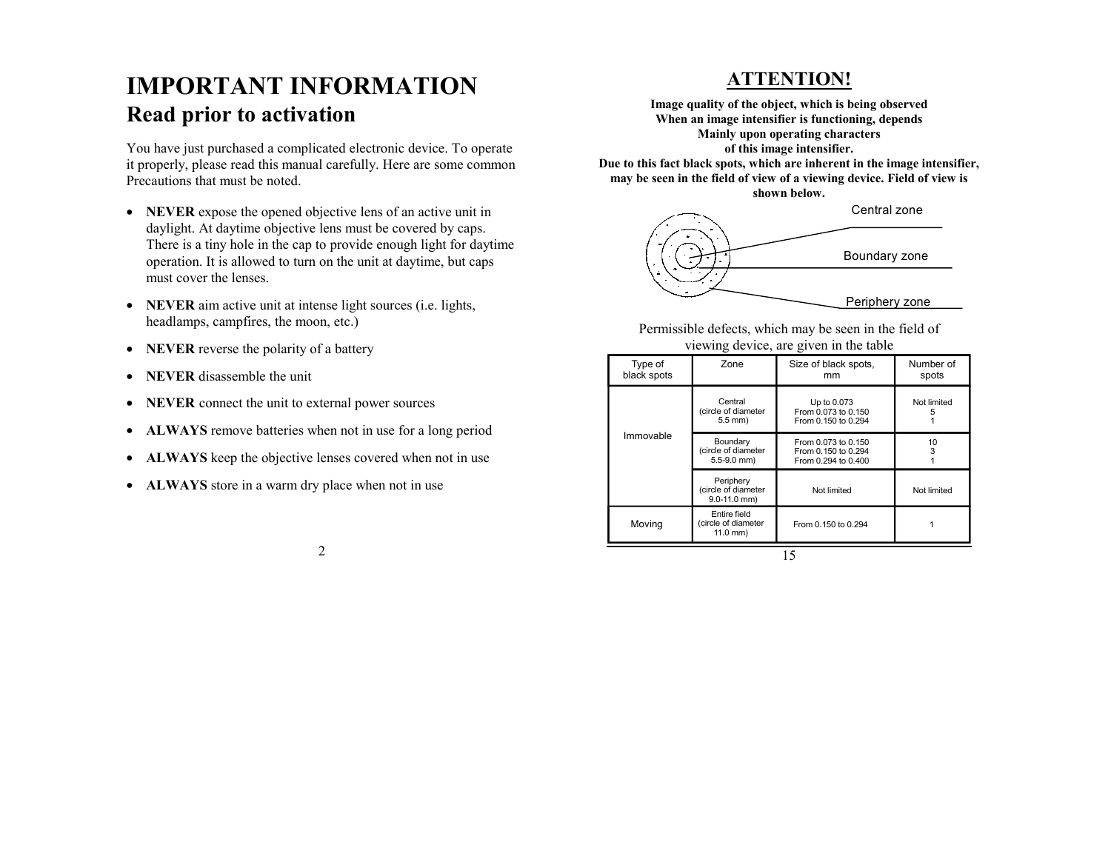# **IMPORTANT INFORMATIONRead prior to activation**

You have just purchased a complicated electronic device. To operate it properly, please read this manual carefully. Here are some common Precautions that must be noted.

- **NEVER** expose the opened objective lens of an active unit in daylight. At daytime objective lens must be covered by caps. There is a tiny hole in the cap to provide enough light for daytime operation. It is allowed to turn on the unit at daytime, but caps must cover the lenses.
- **NEVER** aim active unit at intense light sources (i.e. lights, headlamps, campfires, the moon, etc.)
- **NEVER** reverse the polarity of a battery
- **NEVER** disassemble the unit
- **NEVER** connect the unit to external power sources
- **ALWAYS** remove batteries when not in use for a long period
- **ALWAYS** keep the objective lenses covered when not in use
- **ALWAYS** store in a warm dry place when not in use

# **ATTENTION!**

**Image quality of the object, which is being observed When an image intensifier is functioning, depends Mainly upon operating characters of this image intensifier. Due to this fact black spots, which are inherent in the image intensifier, may be seen in the field of view of a viewing device. Field of view is** 



Permissible defects, which may be seen in the field of viewing device, are given in the table

| Type of<br>black spots | Zone                                                 | Size of black spots,<br>mm                                        | Number of<br>spots |
|------------------------|------------------------------------------------------|-------------------------------------------------------------------|--------------------|
| Immovable              | Central<br>(circle of diameter<br>$5.5$ mm)          | Up to 0.073<br>From 0.073 to 0.150<br>From 0.150 to 0.294         | Not limited<br>5   |
|                        | Boundary<br>(circle of diameter<br>$5.5 - 9.0$ mm)   | From 0.073 to 0.150<br>From 0.150 to 0.294<br>From 0.294 to 0.400 | 10<br>3            |
|                        | Periphery<br>(circle of diameter<br>$9.0 - 11.0$ mm) | Not limited                                                       | Not limited        |
| Moving                 | Entire field<br>(circle of diameter<br>$11.0$ mm)    | From 0.150 to 0.294                                               |                    |
|                        |                                                      |                                                                   |                    |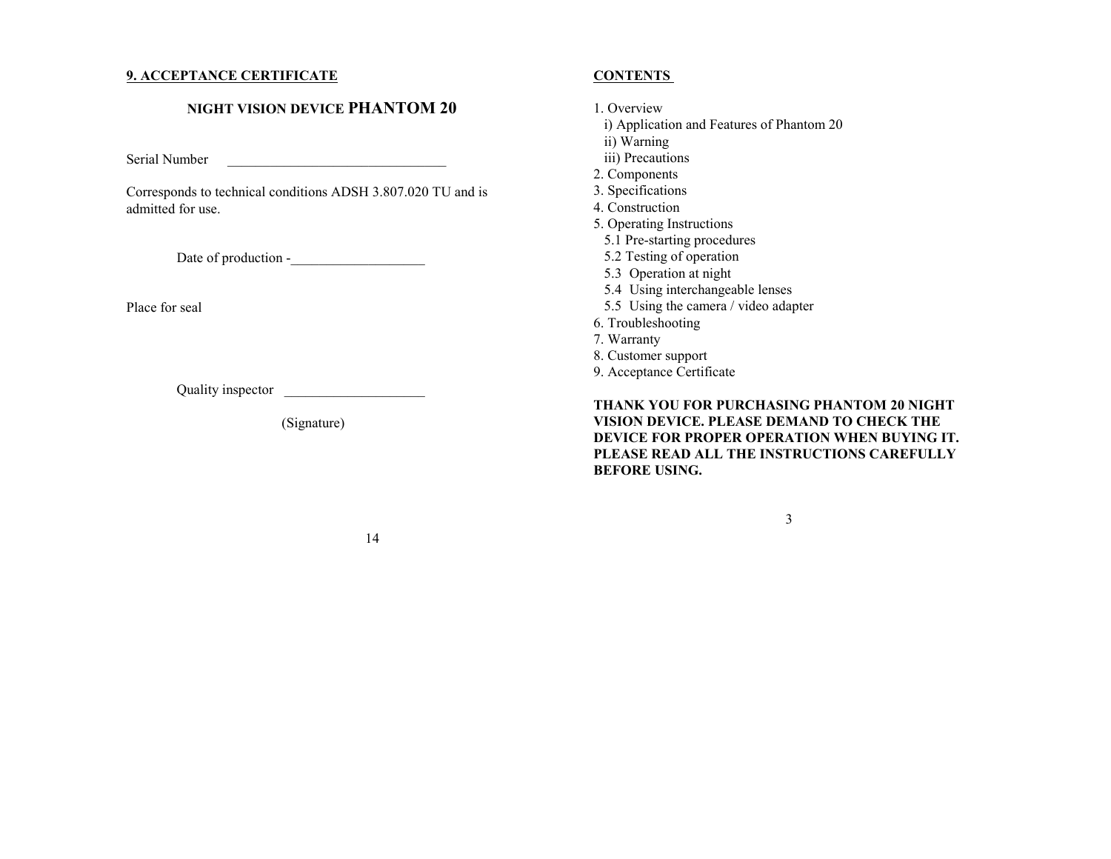## **9. ACCEPTANCE CERTIFICATE**

# **NIGHT VISION DEVICE PHANTOM 20**

Serial Number \_\_\_\_\_\_\_\_\_\_\_\_\_\_\_\_\_\_\_\_\_\_\_\_\_\_\_\_\_\_\_

Corresponds to technical conditions ADSH 3.807.020 TU and is admitted for use.

Date of production -\_\_\_\_\_\_\_\_\_\_\_\_\_\_\_\_\_\_\_

Place for seal

Quality inspector \_\_\_\_\_\_\_\_\_\_\_\_\_\_\_\_\_\_\_\_

(Signature)

# **CONTENTS**

#### 1. Overview

- i) Application and Features of Phantom 20
- ii) Warning
- iii) Precautions
- 2. Components
- 3. Specifications
- 4. Construction
- 5. Operating Instructions
	- 5.1 Pre-starting procedures
- 5.2 Testing of operation
- 5.3 Operation at night
- 5.4 Using interchangeable lenses
- 5.5 Using the camera / video adapter
- 6. Troubleshooting
- 7. Warranty
- 8. Customer support
- 9. Acceptance Certificate

**THANK YOU FOR PURCHASING PHANTOM 20 NIGHT VISION DEVICE. PLEASE DEMAND TO CHECK THE DEVICE FOR PROPER OPERATION WHEN BUYING IT. PLEASE READ ALL THE INSTRUCTIONS CAREFULLY BEFORE USING.** 

3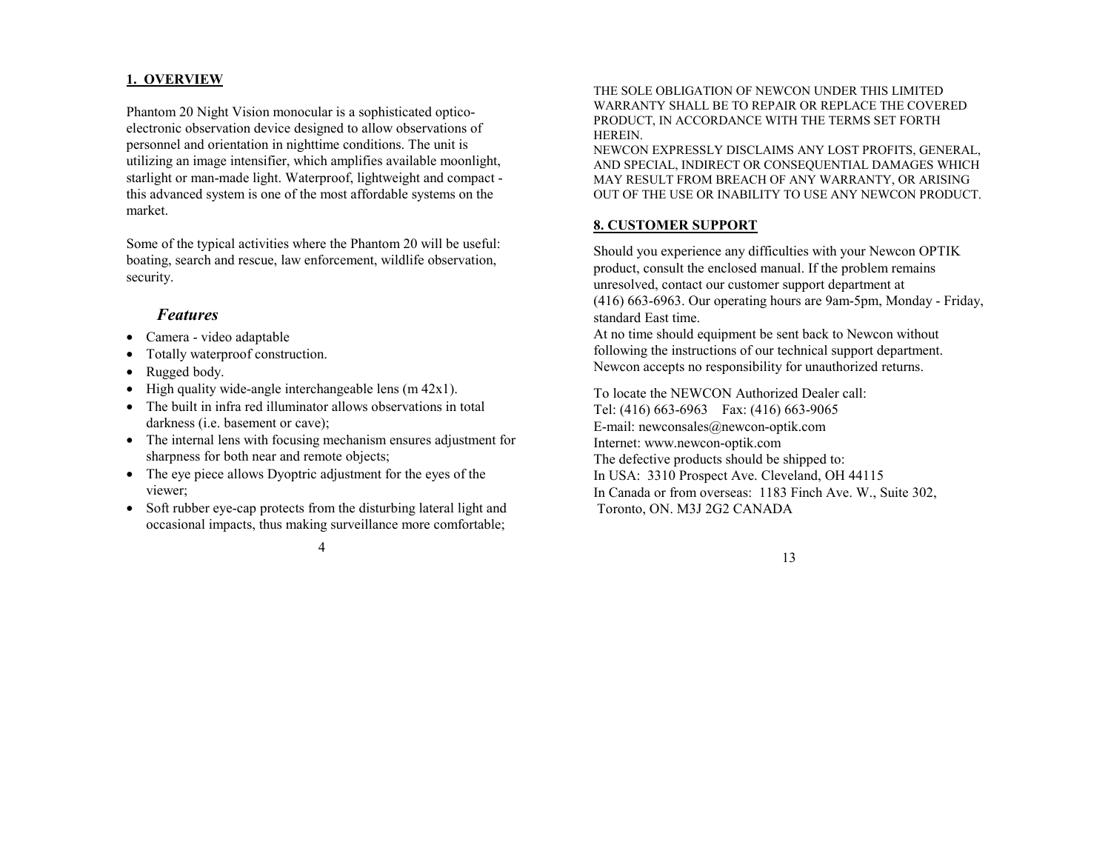# **1. OVERVIEW**

Phantom 20 Night Vision monocular is a sophisticated opticoelectronic observation device designed to allow observations of personnel and orientation in nighttime conditions. The unit is utilizing an image intensifier, which amplifies available moonlight, starlight or man-made light. Waterproof, lightweight and compact this advanced system is one of the most affordable systems on the market.

Some of the typical activities where the Phantom 20 will be useful: boating, search and rescue, law enforcement, wildlife observation, security.

# *Features*

- Camera video adaptable
- Totally waterproof construction.
- Rugged body.
- High quality wide-angle interchangeable lens  $(m 42x1)$ .
- The built in infra red illuminator allows observations in total darkness (i.e. basement or cave);
- The internal lens with focusing mechanism ensures adjustment for sharpness for both near and remote objects;
- The eye piece allows Dyoptric adjustment for the eyes of the viewer;
- Soft rubber eye-cap protects from the disturbing lateral light and occasional impacts, thus making surveillance more comfortable;

THE SOLE OBLIGATION OF NEWCON UNDER THIS LIMITED WARRANTY SHALL BE TO REPAIR OR REPLACE THE COVERED PRODUCT, IN ACCORDANCE WITH THE TERMS SET FORTH HEREIN.

NEWCON EXPRESSLY DISCLAIMS ANY LOST PROFITS, GENERAL, AND SPECIAL, INDIRECT OR CONSEQUENTIAL DAMAGES WHICH MAY RESULT FROM BREACH OF ANY WARRANTY, OR ARISING OUT OF THE USE OR INABILITY TO USE ANY NEWCON PRODUCT.

#### **8. CUSTOMER SUPPORT**

Should you experience any difficulties with your Newcon OPTIK product, consult the enclosed manual. If the problem remains unresolved, contact our customer support department at (416) 663-6963. Our operating hours are 9am-5pm, Monday - Friday, standard East time.

At no time should equipment be sent back to Newcon without following the instructions of our technical support department. Newcon accepts no responsibility for unauthorized returns.

To locate the NEWCON Authorized Dealer call: Tel: (416) 663-6963 Fax: (416) 663-9065 E-mail: newconsales@newcon-optik.com Internet: www.newcon-optik.com The defective products should be shipped to: In USA: 3310 Prospect Ave. Cleveland, OH 44115 In Canada or from overseas: 1183 Finch Ave. W., Suite 302, Toronto, ON. M3J 2G2 CANADA

4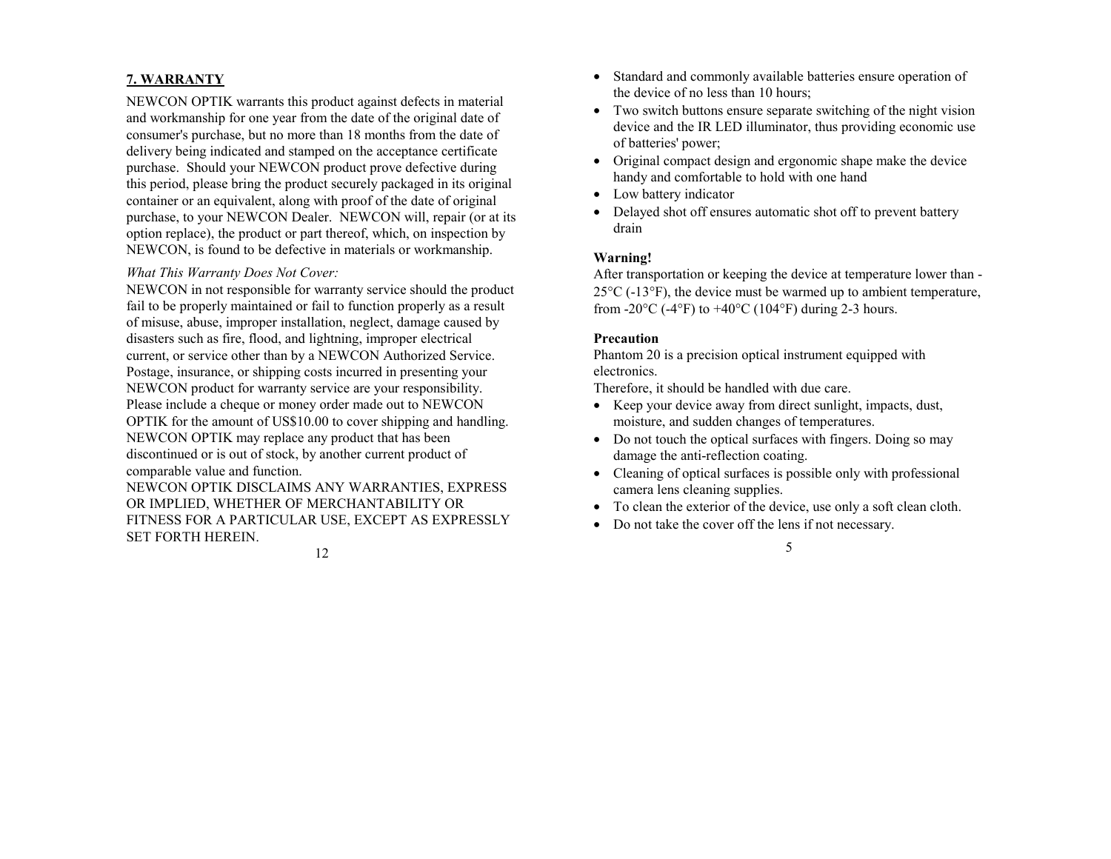# **7. WARRANTY**

NEWCON OPTIK warrants this product against defects in material and workmanship for one year from the date of the original date of consumer's purchase, but no more than 18 months from the date of delivery being indicated and stamped on the acceptance certificate purchase. Should your NEWCON product prove defective during this period, please bring the product securely packaged in its original container or an equivalent, along with proof of the date of original purchase, to your NEWCON Dealer. NEWCON will, repair (or at its option replace), the product or part thereof, which, on inspection by NEWCON, is found to be defective in materials or workmanship.

#### *What This Warranty Does Not Cover:*

NEWCON in not responsible for warranty service should the product fail to be properly maintained or fail to function properly as a result of misuse, abuse, improper installation, neglect, damage caused by disasters such as fire, flood, and lightning, improper electrical current, or service other than by a NEWCON Authorized Service. Postage, insurance, or shipping costs incurred in presenting your NEWCON product for warranty service are your responsibility. Please include a cheque or money order made out to NEWCON OPTIK for the amount of US\$10.00 to cover shipping and handling. NEWCON OPTIK may replace any product that has been discontinued or is out of stock, by another current product of comparable value and function.

NEWCON OPTIK DISCLAIMS ANY WARRANTIES, EXPRESS OR IMPLIED, WHETHER OF MERCHANTABILITY OR FITNESS FOR A PARTICULAR USE, EXCEPT AS EXPRESSLY SET FORTH HEREIN.

- Standard and commonly available batteries ensure operation of the device of no less than 10 hours;
- Two switch buttons ensure separate switching of the night vision device and the IR LED illuminator, thus providing economic use of batteries' power;
- Original compact design and ergonomic shape make the device handy and comfortable to hold with one hand
- Low battery indicator
- Delayed shot off ensures automatic shot off to prevent battery drain

# **Warning!**

After transportation or keeping the device at temperature lower than - 25°C (-13°F), the device must be warmed up to ambient temperature, from -20 $\rm{^{\circ}C}$  (-4 $\rm{^{\circ}F}$ ) to +40 $\rm{^{\circ}C}$  (104 $\rm{^{\circ}F}$ ) during 2-3 hours.

#### **Precaution**

Phantom 20 is a precision optical instrument equipped with electronics.

Therefore, it should be handled with due care.

- Keep your device away from direct sunlight, impacts, dust, moisture, and sudden changes of temperatures.
- Do not touch the optical surfaces with fingers. Doing so may damage the anti-reflection coating.
- Cleaning of optical surfaces is possible only with professional camera lens cleaning supplies.
- To clean the exterior of the device, use only a soft clean cloth.

5

• Do not take the cover off the lens if not necessary.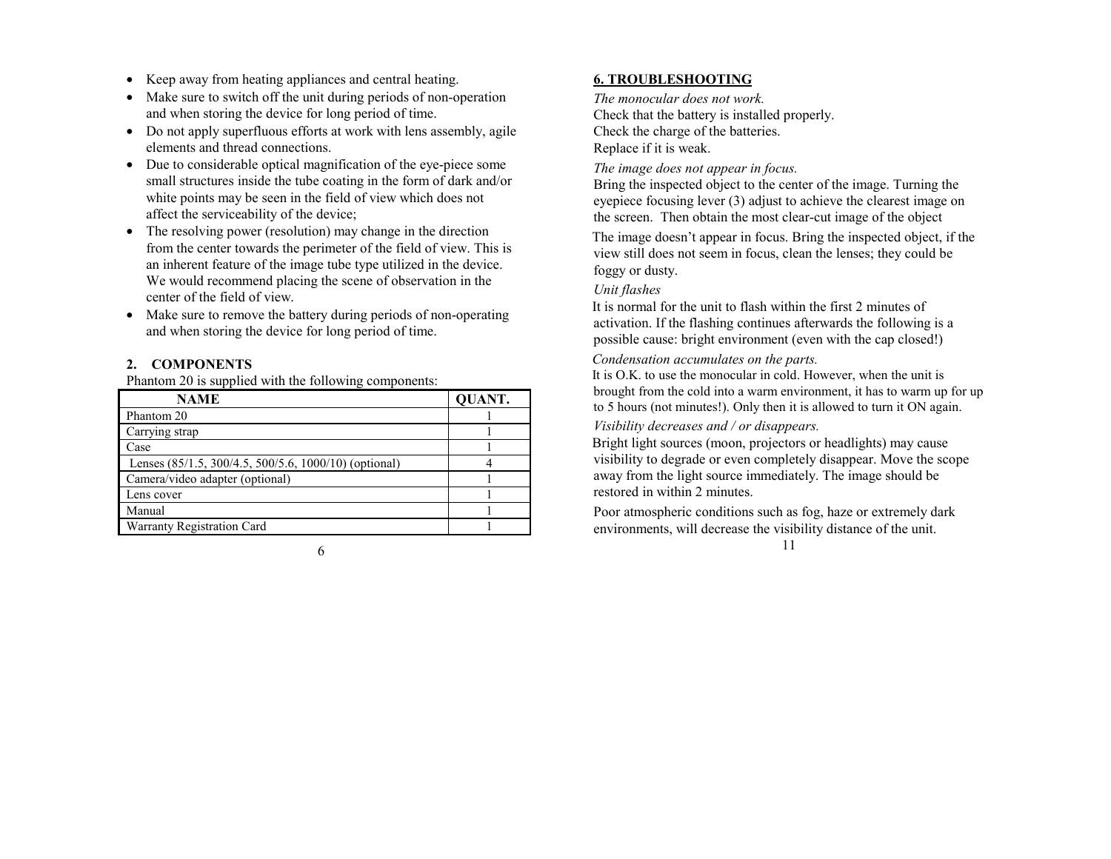- Keep away from heating appliances and central heating.
- Make sure to switch off the unit during periods of non-operation and when storing the device for long period of time.
- Do not apply superfluous efforts at work with lens assembly, agile elements and thread connections.
- Due to considerable optical magnification of the eye-piece some small structures inside the tube coating in the form of dark and/or white points may be seen in the field of view which does not affect the serviceability of the device;
- The resolving power (resolution) may change in the direction from the center towards the perimeter of the field of view. This is an inherent feature of the image tube type utilized in the device. We would recommend placing the scene of observation in the center of the field of view.
- Make sure to remove the battery during periods of non-operating and when storing the device for long period of time.

# **2. COMPONENTS**

Phantom 20 is supplied with the following components:

| <b>NAME</b>                                           | <b>QUANT.</b> |
|-------------------------------------------------------|---------------|
| Phantom 20                                            |               |
| Carrying strap                                        |               |
| Case                                                  |               |
| Lenses (85/1.5, 300/4.5, 500/5.6, 1000/10) (optional) |               |
| Camera/video adapter (optional)                       |               |
| Lens cover                                            |               |
| Manual                                                |               |
| <b>Warranty Registration Card</b>                     |               |

#### 6

# **6. TROUBLESHOOTING**

*The monocular does not work.* Check that the battery is installed properly. Check the charge of the batteries. Replace if it is weak.

*The image does not appear in focus.* 

Bring the inspected object to the center of the image. Turning the eyepiece focusing lever (3) adjust to achieve the clearest image on the screen. Then obtain the most clear-cut image of the object

The image doesn't appear in focus. Bring the inspected object, if the view still does not seem in focus, clean the lenses; they could be foggy or dusty.

# *Unit flashes*

It is normal for the unit to flash within the first 2 minutes of activation. If the flashing continues afterwards the following is a possible cause: bright environment (even with the cap closed!)

## *Condensation accumulates on the parts.*

It is O.K. to use the monocular in cold. However, when the unit is brought from the cold into a warm environment, it has to warm up for up to 5 hours (not minutes!). Only then it is allowed to turn it ON again.

# *Visibility decreases and / or disappears.*

Bright light sources (moon, projectors or headlights) may cause visibility to degrade or even completely disappear. Move the scope away from the light source immediately. The image should be restored in within 2 minutes.

Poor atmospheric conditions such as fog, haze or extremely dark environments, will decrease the visibility distance of the unit.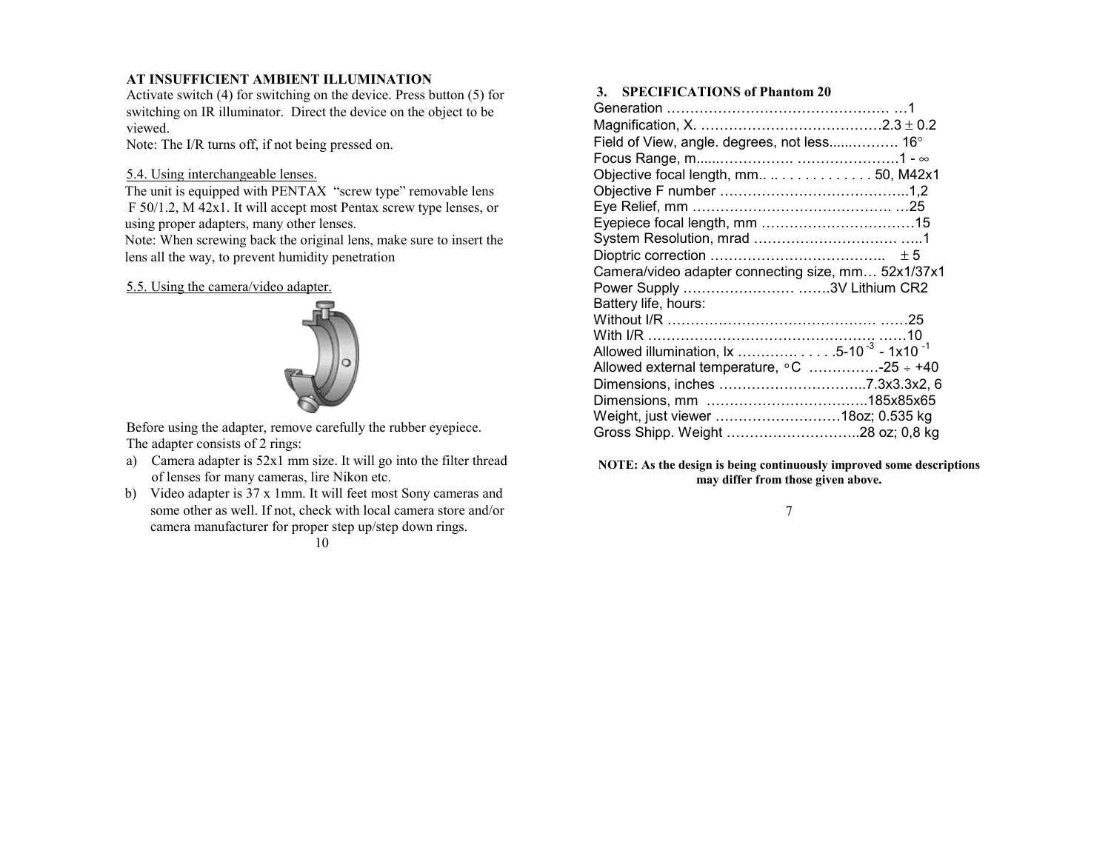# **AT INSUFFICIENT AMBIENT ILLUMINATION**

Activate switch (4) for switching on the device. Press button (5) for switching on IR illuminator. Direct the device on the object to be viewed.

Note: The I/R turns off, if not being pressed on.

#### 5.4. Using interchangeable lenses.

The unit is equipped with PENTAX "screw type" removable lens F 50/1.2, M 42x1. It will accept most Pentax screw type lenses, or using proper adapters, many other lenses.

Note: When screwing back the original lens, make sure to insert the lens all the way, to prevent humidity penetration

#### 5.5. Using the camera/video adapter.



Before using the adapter, remove carefully the rubber eyepiece. The adapter consists of 2 rings:

- a) Camera adapter is 52x1 mm size. It will go into the filter thread of lenses for many cameras, lire Nikon etc.
- b) Video adapter is 37 x 1mm. It will feet most Sony cameras and some other as well. If not, check with local camera store and/or camera manufacturer for proper step up/step down rings.

#### 10

#### **3. SPECIFICATIONS of Phantom 20**

| Field of View, angle. degrees, not less 16°                      |
|------------------------------------------------------------------|
|                                                                  |
| Objective focal length, mm50, M42x1                              |
|                                                                  |
|                                                                  |
|                                                                  |
|                                                                  |
|                                                                  |
| Camera/video adapter connecting size, mm 52x1/37x1               |
| Power Supply 3V Lithium CR2                                      |
| Battery life, hours:                                             |
|                                                                  |
|                                                                  |
| Allowed illumination, lx 5-10 <sup>-3</sup> - 1x10 <sup>-1</sup> |
| Allowed external temperature, $\circ$ C -25 $\div$ +40           |
|                                                                  |
|                                                                  |
| Weight, just viewer 180z; 0.535 kg                               |
|                                                                  |

**NOTE: As the design is being continuously improved some descriptions may differ from those given above.**